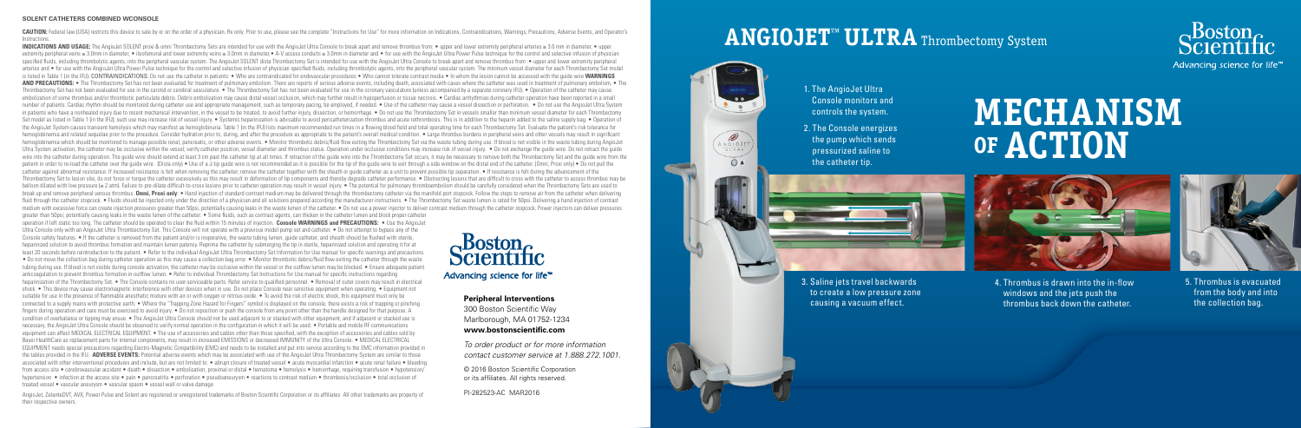### **ANGIOJET™ ULTRA** Thrombectomy System





2. The Console energizes the pump which sends pressurized saline to the catheter tip.

(C ANGIOJE  $\bigcap$  A

# **MECHANISM OF ACTION**



3. Saline jets travel backwards to create a low pressure zone causing a vacuum effect.



4. Thrombus is drawn into the in-flow windows and the jets push the thrombus back down the catheter.



5. Thrombus is evacuated from the body and into the collection bag.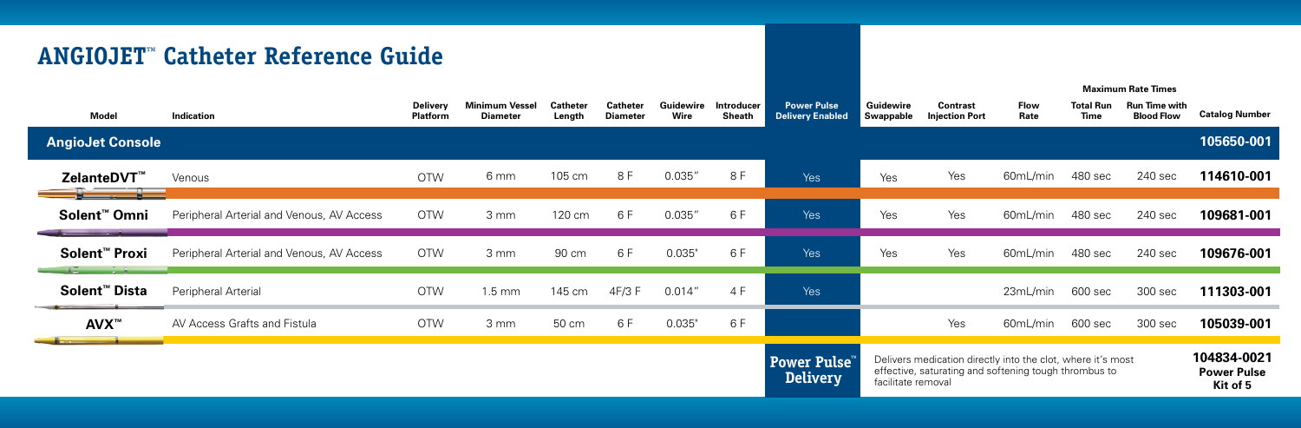## **ANGIOJET™ Catheter Reference Guide**

| Model                     | <b>Indication</b>                         | Delivery<br>Platform | <b>Minimum Vessel</b><br><b>Diameter</b> | <b>Catheter</b><br>Length | <b>Catheter</b><br><b>Diameter</b> | <b>Guidewire</b><br>Wire | <b>Introducer</b><br>Sheath | <b>Power Pulse</b><br><b>Delivery Enabled</b> | Guidewire<br>Swappable                                                                                                                     | <b>Contrast</b><br><b>Injection Port</b> | <b>Flow</b><br>Rate | <b>Total Run</b><br><b>Time</b> | <b>Run Time with</b><br><b>Blood Flow</b> | <b>Catalog Number</b>                         |
|---------------------------|-------------------------------------------|----------------------|------------------------------------------|---------------------------|------------------------------------|--------------------------|-----------------------------|-----------------------------------------------|--------------------------------------------------------------------------------------------------------------------------------------------|------------------------------------------|---------------------|---------------------------------|-------------------------------------------|-----------------------------------------------|
| <b>AngioJet Console</b>   |                                           |                      |                                          |                           |                                    |                          |                             |                                               |                                                                                                                                            |                                          |                     |                                 |                                           | 105650-001                                    |
| ZelanteDVT <sup>™</sup>   | Venous                                    | <b>OTW</b>           | 6 mm                                     | 105 cm                    | 8 F                                | 0.035"                   | 8 F                         | Yes                                           | Yes                                                                                                                                        | Yes                                      | 60mL/min            | 480 sec                         | 240 sec                                   | 114610-001                                    |
| Solent <sup>™</sup> Omni  | Peripheral Arterial and Venous, AV Access | <b>OTW</b>           | 3 mm                                     | 120 cm                    | 6 F                                | 0.035"                   | 6 F                         | Yes                                           | Yes                                                                                                                                        | Yes                                      | 60mL/min            | 480 sec                         | 240 sec                                   | 109681-001                                    |
| Solent <sup>™</sup> Proxi | Peripheral Arterial and Venous, AV Access | <b>OTW</b>           | 3 mm                                     | 90 cm                     | 6 F                                | 0.035"                   | 6 F                         | Yes                                           | Yes                                                                                                                                        | Yes                                      | 60mL/min            | 480 sec                         | 240 sec                                   | 109676-001                                    |
| Solent <sup>™</sup> Dista | Peripheral Arterial                       | <b>OTW</b>           | $1.5 \text{ mm}$                         | 145 cm                    | 4F/3 F                             | 0.014''                  | 4 F                         | Yes                                           |                                                                                                                                            |                                          | 23mL/min            | 600 sec                         | 300 sec                                   | 111303-001                                    |
| AVX™                      | AV Access Grafts and Fistula              | <b>OTW</b>           | 3 mm                                     | 50 cm                     | 6 F                                | 0.035"                   | 6 F                         |                                               |                                                                                                                                            | Yes                                      | 60mL/min            | 600 sec                         | 300 sec                                   | 105039-001                                    |
|                           |                                           |                      |                                          |                           |                                    |                          |                             | Power Pulse™<br><b>Delivery</b>               | Delivers medication directly into the clot, where it's most<br>effective, saturating and softening tough thrombus to<br>facilitate removal |                                          |                     |                                 |                                           | 104834-0021<br><b>Power Pulse</b><br>Kit of 5 |